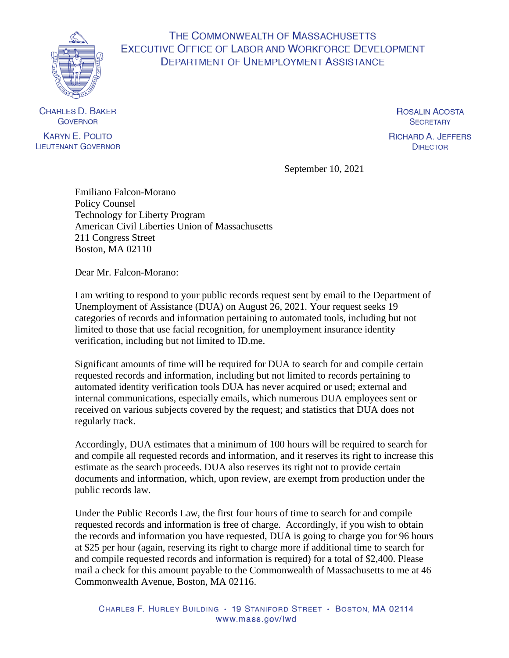

## THE COMMONWEALTH OF MASSACHUSETTS **EXECUTIVE OFFICE OF LABOR AND WORKFORCE DEVELOPMENT DEPARTMENT OF UNEMPLOYMENT ASSISTANCE**

**CHARLES D. BAKER GOVERNOR KARYN E. POLITO** 

**LIEUTENANT GOVERNOR** 

**ROSALIN ACOSTA SECRETARY** 

**RICHARD A. JEFFERS DIRECTOR** 

September 10, 2021

Emiliano Falcon-Morano Policy Counsel Technology for Liberty Program American Civil Liberties Union of Massachusetts 211 Congress Street Boston, MA 02110

Dear Mr. Falcon-Morano:

I am writing to respond to your public records request sent by email to the Department of Unemployment of Assistance (DUA) on August 26, 2021. Your request seeks 19 categories of records and information pertaining to automated tools, including but not limited to those that use facial recognition, for unemployment insurance identity verification, including but not limited to ID.me.

Significant amounts of time will be required for DUA to search for and compile certain requested records and information, including but not limited to records pertaining to automated identity verification tools DUA has never acquired or used; external and internal communications, especially emails, which numerous DUA employees sent or received on various subjects covered by the request; and statistics that DUA does not regularly track.

Accordingly, DUA estimates that a minimum of 100 hours will be required to search for and compile all requested records and information, and it reserves its right to increase this estimate as the search proceeds. DUA also reserves its right not to provide certain documents and information, which, upon review, are exempt from production under the public records law.

Under the Public Records Law, the first four hours of time to search for and compile requested records and information is free of charge. Accordingly, if you wish to obtain the records and information you have requested, DUA is going to charge you for 96 hours at \$25 per hour (again, reserving its right to charge more if additional time to search for and compile requested records and information is required) for a total of \$2,400. Please mail a check for this amount payable to the Commonwealth of Massachusetts to me at 46 Commonwealth Avenue, Boston, MA 02116.